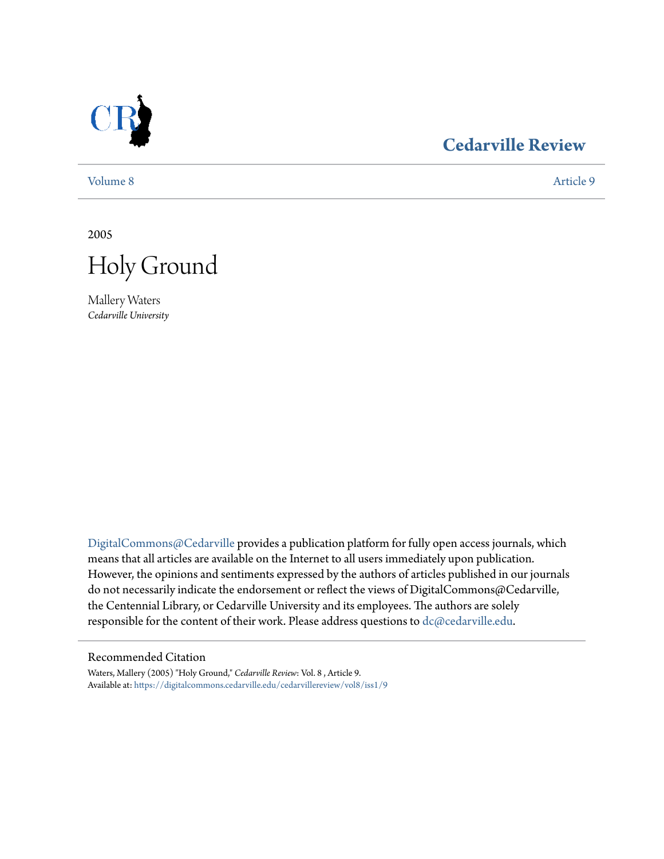

### **[Cedarville Review](https://digitalcommons.cedarville.edu/cedarvillereview?utm_source=digitalcommons.cedarville.edu%2Fcedarvillereview%2Fvol8%2Fiss1%2F9&utm_medium=PDF&utm_campaign=PDFCoverPages)**

[Volume 8](https://digitalcommons.cedarville.edu/cedarvillereview/vol8?utm_source=digitalcommons.cedarville.edu%2Fcedarvillereview%2Fvol8%2Fiss1%2F9&utm_medium=PDF&utm_campaign=PDFCoverPages) [Article 9](https://digitalcommons.cedarville.edu/cedarvillereview/vol8/iss1/9?utm_source=digitalcommons.cedarville.edu%2Fcedarvillereview%2Fvol8%2Fiss1%2F9&utm_medium=PDF&utm_campaign=PDFCoverPages)

2005



Mallery Waters *Cedarville University*

[DigitalCommons@Cedarville](http://digitalcommons.cedarville.edu) provides a publication platform for fully open access journals, which means that all articles are available on the Internet to all users immediately upon publication. However, the opinions and sentiments expressed by the authors of articles published in our journals do not necessarily indicate the endorsement or reflect the views of DigitalCommons@Cedarville, the Centennial Library, or Cedarville University and its employees. The authors are solely responsible for the content of their work. Please address questions to [dc@cedarville.edu](mailto:dc@cedarville.edu).

### Recommended Citation

Waters, Mallery (2005) "Holy Ground," *Cedarville Review*: Vol. 8 , Article 9. Available at: [https://digitalcommons.cedarville.edu/cedarvillereview/vol8/iss1/9](https://digitalcommons.cedarville.edu/cedarvillereview/vol8/iss1/9?utm_source=digitalcommons.cedarville.edu%2Fcedarvillereview%2Fvol8%2Fiss1%2F9&utm_medium=PDF&utm_campaign=PDFCoverPages)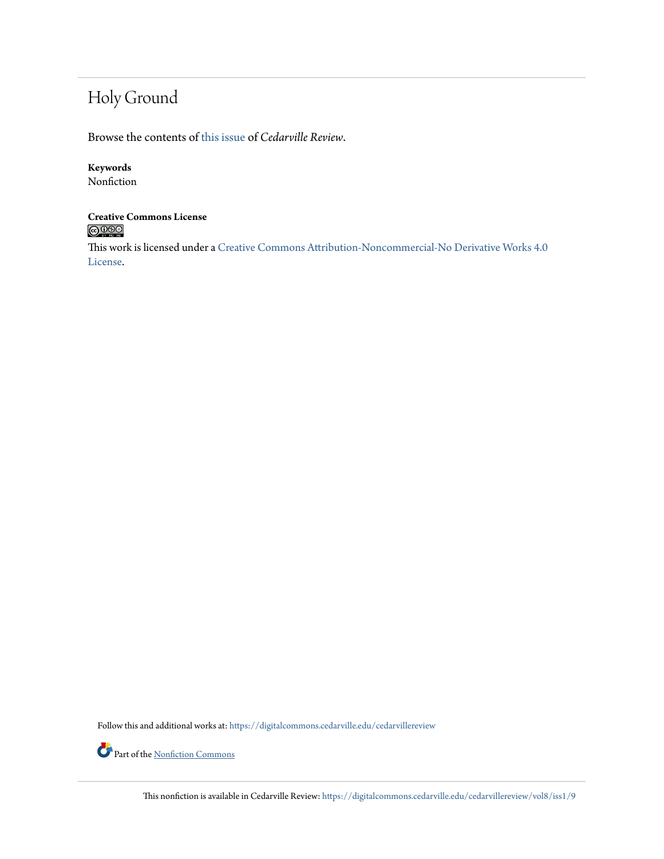## Holy Ground

Browse the contents of [this issue](https://digitalcommons.cedarville.edu/cedarvillereview/vol8/iss1) of *Cedarville Review*.

### **Keywords**

Nonfiction

## **Creative Commons License**

This work is licensed under a [Creative Commons Attribution-Noncommercial-No Derivative Works 4.0](http://creativecommons.org/licenses/by-nc-nd/4.0/) [License.](http://creativecommons.org/licenses/by-nc-nd/4.0/)

Follow this and additional works at: [https://digitalcommons.cedarville.edu/cedarvillereview](https://digitalcommons.cedarville.edu/cedarvillereview?utm_source=digitalcommons.cedarville.edu%2Fcedarvillereview%2Fvol8%2Fiss1%2F9&utm_medium=PDF&utm_campaign=PDFCoverPages)

Part of the <u>[Nonfiction Commons](http://network.bepress.com/hgg/discipline/1152?utm_source=digitalcommons.cedarville.edu%2Fcedarvillereview%2Fvol8%2Fiss1%2F9&utm_medium=PDF&utm_campaign=PDFCoverPages)</u>

This nonfiction is available in Cedarville Review: [https://digitalcommons.cedarville.edu/cedarvillereview/vol8/iss1/9](https://digitalcommons.cedarville.edu/cedarvillereview/vol8/iss1/9?utm_source=digitalcommons.cedarville.edu%2Fcedarvillereview%2Fvol8%2Fiss1%2F9&utm_medium=PDF&utm_campaign=PDFCoverPages)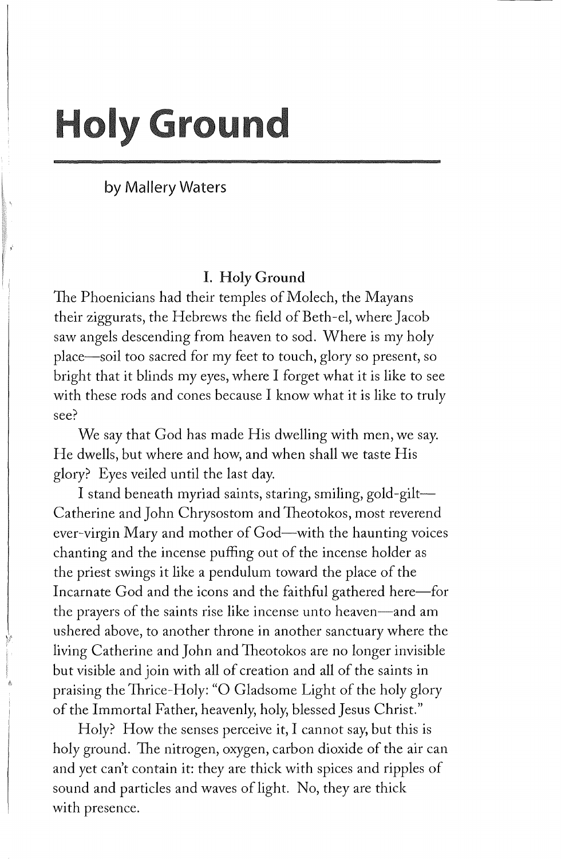# **Holy Ground**

by Mallery Waters

### I. Holy Ground

The Phoenicians had their temples of Molech, the Mayans their ziggurats, the Hebrews the field of Beth-el, where Jacob saw angels descending from heaven to sod. Where is my holy place-soil too sacred for my feet to touch, glory so present, so bright that it blinds my eyes, where I forget what it is like to see with these rods and cones because I know what it is like to truly see?

We say that God has made His dwelling with men, we say. He dwells, but where and how, and when shall we taste His glory? Eyes veiled until the last day.

I stand beneath myriad saints, staring, smiling, gold-gilt-Catherine and John Chrysostom and Theotokos, most reverend ever-virgin Mary and mother of God-with the haunting voices chanting and the incense puffing out of the incense holder as the priest swings it like a pendulum toward the place of the Incarnate God and the icons and the faithful gathered here-for the prayers of the saints rise like incense unto heaven—and am ushered above, to another throne in another sanctuary where the living Catherine and John and Theotokos are no longer invisible but visible and join with all of creation and all of the saints in praising the Thrice-Holy: "O Gladsome Light of the holy glory of the Immortal Father, heavenly, holy, blessed Jesus Christ."

Holy? How the senses perceive it, I cannot say, but this is holy ground. The nitrogen, oxygen, carbon dioxide of the air can and yet can't contain it: they are thick with spices and ripples of sound and particles and waves of light. No, they are thick with presence.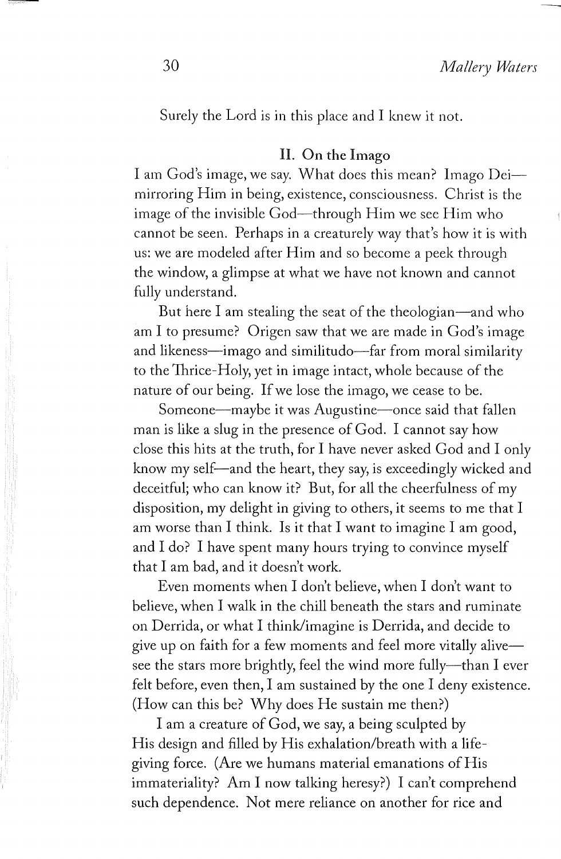Surely the Lord is in this place and I knew it not.

### II. On the Imago

I am God's image, we say. What does this mean? Imago Deimirroring Him in being, existence, consciousness. Christ is the image of the invisible God—through Him we see Him who cannot be seen. Perhaps in a creaturely way that's how it is with us: we are modeled after Him and so become a peek through the window, a glimpse at what we have not known and cannot fully understand.

But here I am stealing the seat of the theologian—and who am I to presume? Origen saw that we are made in God's image and likeness—imago and similitudo—far from moral similarity to the Thrice-Holy, yet in image intact, whole because of the nature of our being. If we lose the imago, we cease to be.

Someone-maybe it was Augustine-once said that fallen man is like a slug in the presence of God. I cannot say how close this hits at the truth, for I have never asked God and I only know my self—and the heart, they say, is exceedingly wicked and deceitful; who can know it? But, for all the cheerfulness of my disposition, my delight in giving to others, it seems to me that I am worse than I think. Is it that I want to imagine I am good, and I do? I have spent many hours trying to convince myself that I am bad, and it doesn't work.

Even moments when I don't believe, when I don't want to believe, when I walk in the chill beneath the stars and ruminate on Derrida, or what I think/imagine is Derrida, and decide to give up on faith for a few moments and feel more vitally alivesee the stars more brightly, feel the wind more fully--than I ever felt before, even then, I am sustained by the one I deny existence. (How can this be? Why does He sustain me then?)

I am a creature of God, we say, a being sculpted by His design and filled by His exhalation/breath with a lifegiving force. (Are we humans material emanations of His immateriality? Am I now talking heresy?) I can't comprehend such dependence. Not mere reliance on another for rice and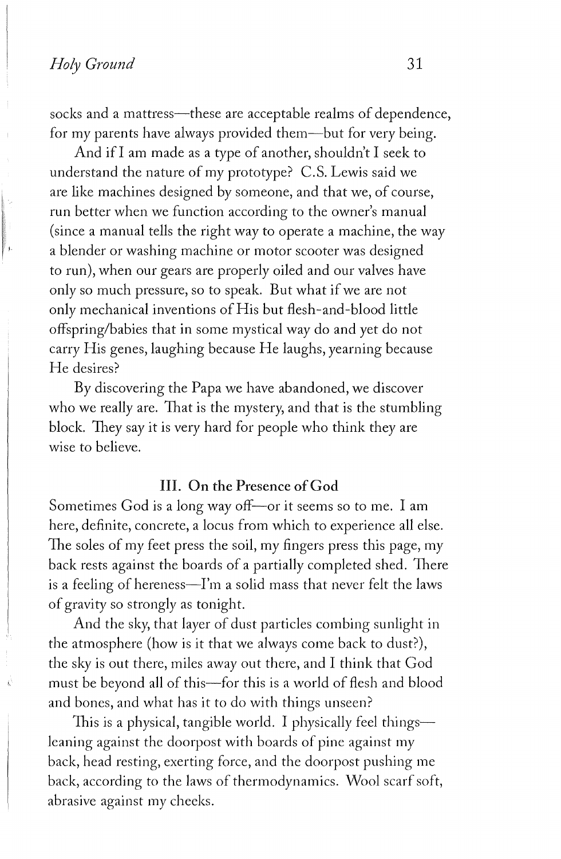socks and a mattress-these are acceptable realms of dependence, for my parents have always provided them-but for very being.

And if I am made as a type of another, shouldn't I seek to understand the nature of my prototype? C.S. Lewis said we are like machines designed by someone, and that we, of course, run better when we function according to the owner's manual (since a manual tells the right way to operate a machine, the way a blender or washing machine or motor scooter was designed to run), when our gears are properly oiled and our valves have only so much pressure, so to speak. But what if we are not only mechanical inventions of His but flesh-and-blood little offspring/babies that in some mystical way do and yet do not carry His genes, laughing because He laughs, yearning because He desires?

By discovering the Papa we have abandoned, we discover who we really are. That is the mystery, and that is the stumbling block. They say it is very hard for people who think they are wise to believe.

#### III. On the Presence of God

Sometimes God is a long way off—or it seems so to me. I am here, definite, concrete, a locus from which to experience all else. The soles of my feet press the soil, my fingers press this page, my back rests against the boards of a partially completed shed. There is a feeling of hereness-I'm a solid mass that never felt the laws of gravity so strongly as tonight.

And the sky, that layer of dust particles combing sunlight in the atmosphere (how is it that we always come back to dust?), the sky is out there, miles away out there, and I think that God must be beyond all of this-for this is a world of flesh and blood and bones, and what has it to do with things unseen?

This is a physical, tangible world. I physically feel things— 1eaning against the doorpost with boards of pine against my back, head resting, exerting force, and the doorpost pushing me back, according to the laws of thermodynamics. Wool scarf soft, abrasive against my cheeks.